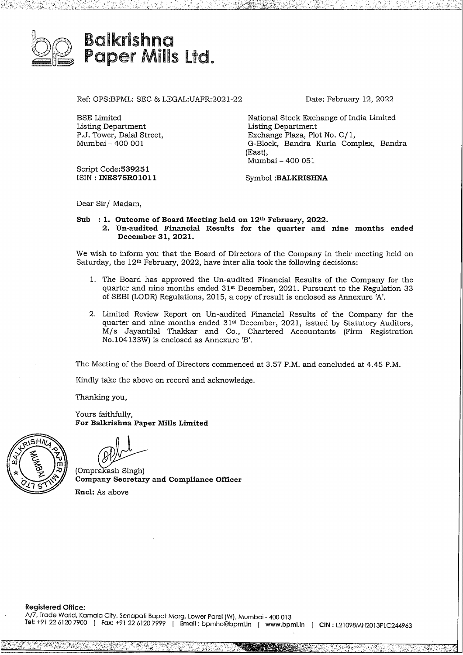

BSE Limited Listing Department P.J. Tower, Dalal Street, Mumbai- <sup>400</sup> 001

Ref: OPS:BPML: SEC & LEGAL:UAFR:2021-22

Date: February 12, 2022

National Stock Exchange of India Limited Listing Department Exchange Plaza, Plot No. C/1, G-Block, Bandra Kurla Complex, Bandra (East), Mumbai- <sup>400</sup> <sup>051</sup>

Script Code:539251 ISIN : **INE875R01011**

Symbol **:BALKRISHNA**

Dear Sir/ Madam,

## **Sub : 1. Outcome ofBoard Meeting held on 12h February, 2022. 2. Un-audited Financial Results for the quarter and nine months ended December 31, 2021.**

We wish to inform you that the Board of Directors of the Company in their meeting held on Saturday, the 12h February, 2022, have inter alia took the following decisions:

- 1. The Board has approved the Un-audited Financial Results of the Company for the quarter and nine months ended 31st December, 2021. Pursuant to the Regulation 33 of SEBI (LODR) Regulations, 2015, a copy ofresult is enclosed as Annexure 'A'.
- 2. Limited Review Report on Un-audited Financial Results of the Company for the quarter and nine months ended 31<sup>st</sup> December, 2021, issued by Statutory Auditors, M/s Jayantilal Thakkar and Co., Chartered Accountants (Firm Registration No.104133W) is enclosed as Annexure 'B'.

The Meeting of the Board of Directors commenced at 3.57 P.M. and concluded at 4.45 P.M.

Kindly take the above on record and acknowledge.

Thanking you,

Yours faithfully, **For Balkrishna Paper Mills Limited**

ing you,<br>faithfully,<br>**alkrishna Pape**<br>akash Singh)<br>any Secretary<br>As above

**C o m p a ny Secretary and Compliance Officer** (O m p r **Encl:** As above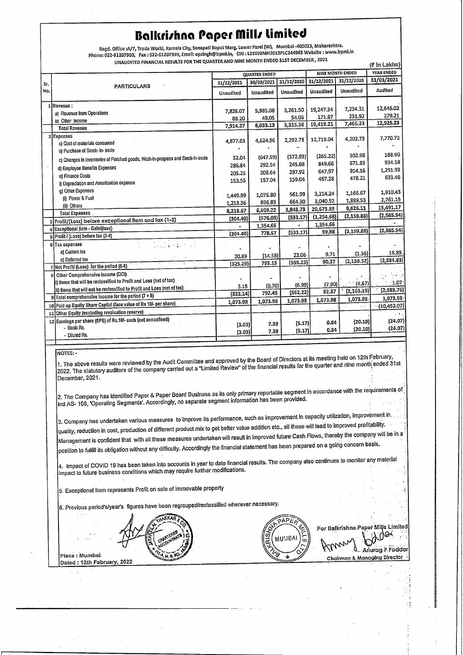# **Balkrirha Paper filllimited**

Regd. Office :A/7, Trade World, Kamala City, Senapati Bapat Marg, Lower Parel (W), Mumbai-400013, Maharashtra. Phone: 022·61207900, Fax: 022·61207999, Emall; opsingh@bpml.in, CIN: L21098MH2013PLC244963 Website : www.bpml.in UNAUDITED FINANCIAL RESULTS FOR THE QUARTER AND NINE MONTH ENDED 31ST DECEMBER, 2021

| Phone: 022-6120/900, Fax : 022-6120/999, Email: Opsingrigophilling City: 022006<br>UNAUDITED FINANCIAL RESULTS FOR THE QUARTER AND NINE MONTH ENDED 31ST DECEMBER, 2021<br>(₹ in Lakhs) |                                                                                  |                      |            |            |                         |             |              |
|-----------------------------------------------------------------------------------------------------------------------------------------------------------------------------------------|----------------------------------------------------------------------------------|----------------------|------------|------------|-------------------------|-------------|--------------|
|                                                                                                                                                                                         |                                                                                  | <b>QUARTER ENDED</b> |            |            | <b>NINE MONTH ENDED</b> |             | YEAR ENDED   |
| Sr.                                                                                                                                                                                     |                                                                                  | 31/12/2021           | 30/09/2021 | 31/12/2020 | 31/12/2021              | 31/12/2020  | 31/03/2021   |
| No.                                                                                                                                                                                     | <b>PARTICULARS</b>                                                               | Unaudited            | Unaudited  | Unaudited  | Unaudited               | Unaudited   | Audited      |
|                                                                                                                                                                                         | 1 Revenue:                                                                       | 7,826.07             | 5,985.08   | 3,261.50   | 19,247.34               | 7,234.31    | 12,646.02    |
|                                                                                                                                                                                         | a) Revenue from Operations                                                       | 88.20                | 48.05      | 54.06      | 171.87                  | 231.92      | 279.21       |
|                                                                                                                                                                                         | b) Other Income<br><b>Total Revenue</b>                                          | 7,914.27             | 6,033.13   | 3,315.56   | 19,419.21               | 7,466.23    | 12,925.23    |
|                                                                                                                                                                                         | 2 Expenses                                                                       |                      |            |            |                         |             |              |
|                                                                                                                                                                                         | a) Cost of materials consumed                                                    | 4,877.63             | 4,624.96   | 2,292.73   | 12,719.04               | 4,202.73    | 7,770.72     |
|                                                                                                                                                                                         | b) Purchase of Stock- in- trade                                                  |                      |            |            |                         |             |              |
|                                                                                                                                                                                         | c) Changes in inventories of Finished goods, Work-in-progress and Stock-in-trade | 32.04                | (647.59)   | (372.93)   | (265.22)                | 302.98      | 188.90       |
|                                                                                                                                                                                         | d) Employee Benefits Expenses                                                    | 286.84               | 292.54     | 245.68     | 849.66                  | 671.83      | 934.58       |
|                                                                                                                                                                                         | et Finance Costs                                                                 | 205.25               | 208.64     | 297.92     | 647.97                  | 914.16      | 1,291.93     |
|                                                                                                                                                                                         | I) Depreciation and Amortisation expense                                         | 153.56               | 157.04     | 159.04     | 467.28                  | 478.21      | 633.46       |
|                                                                                                                                                                                         | g) Other Expenses                                                                |                      |            |            |                         |             |              |
|                                                                                                                                                                                         | (i) Power & Fuel                                                                 | 1,449.99             | 1.076.80   | 561.99     | 3,214.24                | 1,166.67    | 1,910.43     |
|                                                                                                                                                                                         | (ii) Others                                                                      | 1,213.36             | 896.83     | 664.30     | 3,040.92                | 1,889.53    | 2,761.15     |
|                                                                                                                                                                                         | <b>Total Expenses</b>                                                            | 8,218.67             | 6,609.22   | 3,848.73   | 20,673.89               | 9,626.11    | 15,491.17    |
|                                                                                                                                                                                         | 3 Profit/(Loss) before exceptional litem and tax (1-2)                           | (304.40)             | (576.09)   | (533.17)   | (1, 254.68)             | (2, 159.88) | (2, 565.94)  |
|                                                                                                                                                                                         | a Exceptional Item - Gain/(loss)                                                 |                      | 1,354.66   |            | 1,354.66                |             | (2, 565.94)  |
|                                                                                                                                                                                         | s Profit / (Loss) before tax (3-4)                                               | (304.40)             | 778.57     | (533.17)   | 99.98                   | (2, 159.88) |              |
|                                                                                                                                                                                         | 6 Tax expenses<br>医子宫 电电量机电压器                                                    |                      |            |            |                         |             |              |
|                                                                                                                                                                                         | a) Current lax                                                                   |                      |            |            | 9.71                    | (1.36)      | 18.89        |
|                                                                                                                                                                                         | b) Deferred tax                                                                  | 20.89                | (14.58)    | 22.06      | 90.27                   | (2, 158.52) | (2,584.83)   |
|                                                                                                                                                                                         | ÷<br>7 Net Profit/ (Loss) for the period (5-6)                                   | (325.29)             | 793.15     | (555.23)   |                         |             |              |
| 8                                                                                                                                                                                       | Other Comprehensive Income (OCI)                                                 |                      |            |            |                         |             |              |
|                                                                                                                                                                                         | i) Items that will be reclassified to Profit and Loss (net of tax)               |                      | (0.70)     | (6.99)     | (7, 90)                 | (4.67)      | $-1.07$      |
|                                                                                                                                                                                         | ii) Itoms that will not be reclassified to Profit and Loss (net of tax)          | 3.15<br>(322.14)     | 792.45     | (562.22)   | 82.37                   | (2, 163.19) | (2,583.76)   |
|                                                                                                                                                                                         | $9$ Total comprehensive income for the period (7 + 8)                            |                      | 1,073.98   | 1,073.98   | 1,073.98                | 1,073.98    | 1,073.98     |
|                                                                                                                                                                                         | 10 Paid up Equity Share Capital (face value of Rs 10/- per share)                | 1,073.98             |            |            |                         |             | (10, 452.07) |
|                                                                                                                                                                                         | 11 Other Equity (excluding revaluation reserve)                                  |                      |            |            |                         |             | . н.         |
|                                                                                                                                                                                         | 12 Earnings per share (EPS) of Rs.10/- each (not annualised)                     | (3.03)               | 7.39       | (5.17)     | 0.84                    | (20.10)     | (24.07)      |
|                                                                                                                                                                                         | - Basic Rs.                                                                      | (3.03)               | 7.39       | (5.17)     | 0.84                    | (20.10)     | (24.07)      |
|                                                                                                                                                                                         | - Diluted Rs.                                                                    |                      |            |            |                         |             |              |

#### NOTES:-

1. The above results were reviewed by the Audit Committee and approved by the Board of Directors at its meeting held on 12th February, 2022. The statutory auditors of the company carried out a "Limited Review" of the financial results for the quarter and nine month; ended 31st December, 2021.

2. The Company has identified Paper & Paper Board Business as its only primary reportable segment in accordance with the requirements of Ind AS- 108, 'Operating Segments'. Accordingly, no separate segment information has been provided.

3. Company has undertaken various measures to improve its performance, such as improvement in capacity utilization, improvement in. quality, reduction in cost, production of different product mix to get better value addition etc., all these will lead to improved profitability. Management is confident that with all these measures undertaken will result in improved future Cash Flows, thereby the company will be in a position to fulfill its obligation without any difficulty. Accordingly the financial statement has been prepared on <sup>a</sup> goirig concern basis.

4. Impact of COVID <sup>19</sup> has been taken Into accounts in yearto date financial results. The company also continues to monilor anymaterial : impact to future business conditions which may require further modifications.

5. Exceptional Item represents Profit on sale of immovable property

6. Previous period's/year's figures have been regrouped/reclassified wherever necessary.

esents Profit on sale of immovable property<br>
in the figures have been regrouped/reclassified wherever necessary.<br>  $\sqrt{PAPE_{CP}}$ <br>  $\sqrt{PAPE_{CP}}$ <br>  $\sqrt{PAPE_{CP}}$ <br>  $\sqrt{PAPE_{CP}}$ **S, ARAKKAR & CO government** CHAR<br>Lect Placo : Mumbai. **u, a.P% '**  $\cong$ 

Place : Mumbai.<br>Dated : 12th February, 2022

 $\left(\begin{matrix} \frac{1}{2} & \frac{1}{2} & \frac{1}{2} & \frac{1}{2} \\ \frac{1}{2} & \frac{1}{2} & \frac{1}{2} & \frac{1}{2} \\ \frac{1}{2} & \frac{1}{2} & \frac{1}{2} & \frac{1}{2} \end{matrix}\right)$ *'% ---t- ,-...* **MUMBA** 

**FOAPERT**<br>
For Balkrishna-Paper Mills Limited<br>
MUMBAI or Balkrishna Paper Mills Limited<br>
Chalman & Manurag P-Poddar<br>
Chalman & Managing Director **1 6 16 Anuage P. Poddar**<br>Chairman & Managing Director

j

.•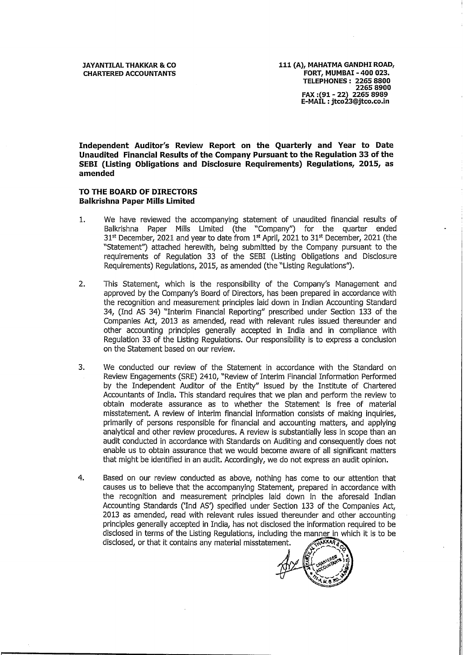**Independent Auditor's Review Report on the Quarterly and Year to Date Unaudited Financial Results ofthe Company Pursuantto the Regulation <sup>33</sup> ofthe SEBI (Listing Obligations and Disclosure Requirements) Regulations, 2015, as amended**

# **TO THE BOARD OF DIRECTORS Balkrishna Paper Mills Limited**

- 1. We have reviewed the accompanying statement of unaudited financial results of Balkrishna Paper Mills Limited (the "Company'') for the quarter ended  $31<sup>st</sup>$  December, 2021 and year to date from  $1<sup>st</sup>$  April, 2021 to 31 $<sup>st</sup>$  December, 2021 (the</sup> "Statement'') attached herewith, being submitted by the Company pursuant to the requirements of Regulation 33 of the SEBI (Listing Obligations and Disclosure Requirements) Regulations, 2015, as amended (the "Listing Regulations'').
- 2. This Statement, which is the responsibility of the Company's Management and approved by the Company's Board of Directors, has been prepared in accordance with the recognition and measurement principles laid down in Indian Accounting Standard 34, (Ind AS 34) "Interim Financial Reporting" prescribed under Section <sup>133</sup> of the Companies Act, 2013 as amended, read with relevant rules issued thereunder and other accounting principles generally accepted in India and in compliance with Regulation 33 of the Listing Regulations. Our responsibility is to express a conclusion on the Statement based on our review.
- 3. We conducted our review of the Statement in accordance with the Standard on Review Engagements (SRE) 2410, "Review of Interim Financial Information Performed by the Independent Auditor of the Entity" issued by the Institute of Chartered Accountants of India. This standard requires that we plan and perform the review to obtain moderate assurance as to whether the Statement is free of material misstatement. <sup>A</sup> review of interim financial information consists of making inquiries, primarily of persons responsible for financial and accounting matters, and applying analytical and other review procedures. <sup>A</sup> review is substantially less in scope than an audit conducted in accordance with Standards on Auditing and consequently does not enable us to obtain assurance that we would become aware of all significant matters that might be identified in an audit. Accordingly, we do not express an audit opinion.
- 4. Based on our review conducted as above, nothing has come to our attention that causes us to believe that the accompanying Statement, prepared in accordance with the recognition and measurement principles laid down in the aforesaid Indian Accounting Standards ('Ind AS') specified under Section 133 of the Companies Act, 2013 as amended, read with relevant rules issued thereunder and other accounting principles generally accepted in India, has not disclosed the information required to be disclosed in terms of the Listing Regulations, including the manner in which it is to be<br>disclosed, or that it contains any material misstatement. disclosed, or that it contains any material misstatement.<br>Accounting Standards ('Ind AS') specified under Section 133 of the 12013 as amended, read with relevant rules issued thereunder and ot principles generally accepted

**5 MAXAB ( c** substitute ) **CHARTERES (A) E** <sub>5</sub> UARTER ATT A **C**<br><u>Kuoro</u>